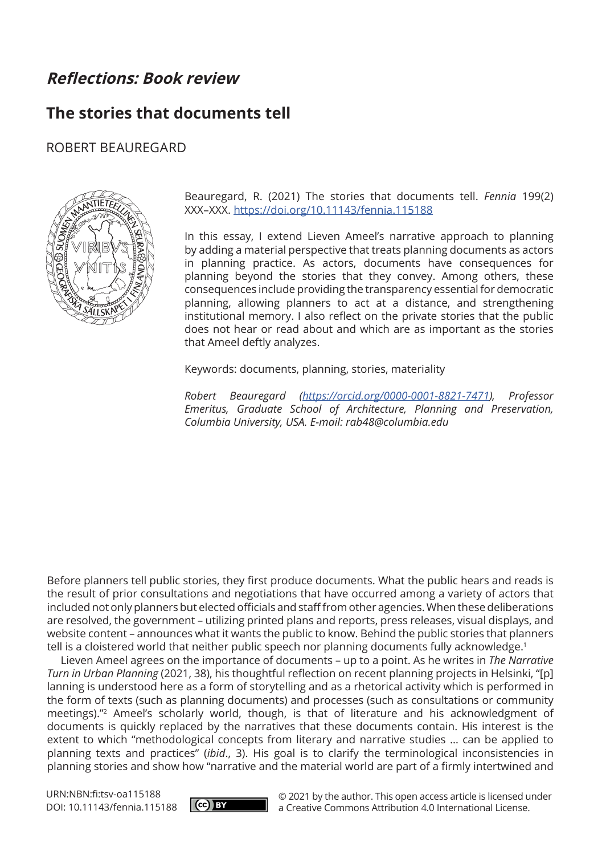# **Reflections: Book review**

# **The stories that documents tell**

## ROBERT BEAUREGARD



Beauregard, R. (2021) The stories that documents tell. *Fennia* 199(2) XXX–XXX. <https://doi.org/10.11143/fennia.115188>

In this essay, I extend Lieven Ameel's narrative approach to planning by adding a material perspective that treats planning documents as actors in planning practice. As actors, documents have consequences for planning beyond the stories that they convey. Among others, these consequences include providing the transparency essential for democratic planning, allowing planners to act at a distance, and strengthening institutional memory. I also reflect on the private stories that the public does not hear or read about and which are as important as the stories that Ameel deftly analyzes.

Keywords: documents, planning, stories, materiality

*Robert Beauregard ([https://orcid.org/0000-0001-8821-7471\)](https://orcid.org/0000-0001-8821-7471), Professor Emeritus, Graduate School of Architecture, Planning and Preservation, Columbia University, USA. E-mail: [rab48@columbia.edu](mailto:rab48@columbia.edu)*

Before planners tell public stories, they first produce documents. What the public hears and reads is the result of prior consultations and negotiations that have occurred among a variety of actors that included not only planners but elected officials and staff from other agencies. When these deliberations are resolved, the government – utilizing printed plans and reports, press releases, visual displays, and website content – announces what it wants the public to know. Behind the public stories that planners tell is a cloistered world that neither public speech nor planning documents fully acknowledge.<sup>1</sup>

Lieven Ameel agrees on the importance of documents – up to a point. As he writes in *The Narrative Turn in Urban Planning* (2021, 38), his thoughtful reflection on recent planning projects in Helsinki, "[p] lanning is understood here as a form of storytelling and as a rhetorical activity which is performed in the form of texts (such as planning documents) and processes (such as consultations or community meetings)."2 Ameel's scholarly world, though, is that of literature and his acknowledgment of documents is quickly replaced by the narratives that these documents contain. His interest is the extent to which "methodological concepts from literary and narrative studies … can be applied to planning texts and practices" (*ibid*., 3). His goal is to clarify the terminological inconsistencies in planning stories and show how "narrative and the material world are part of a firmly intertwined and

URN:NBN:fi:tsv-oa115188 DOI: 10.11143/fennia.115188



© 2021 by the author. This open access article is licensed under a Creative Commons Attribution 4.0 International License.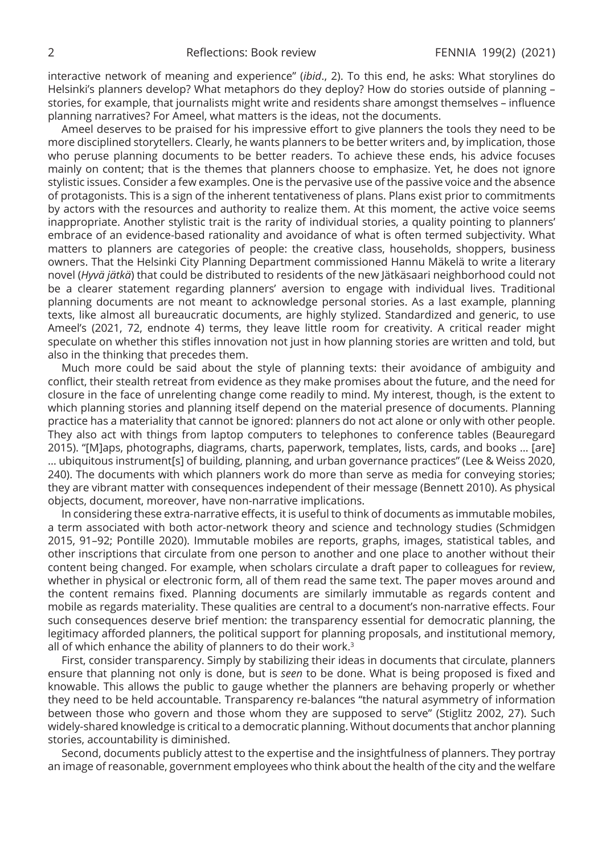interactive network of meaning and experience" (*ibid*., 2). To this end, he asks: What storylines do Helsinki's planners develop? What metaphors do they deploy? How do stories outside of planning – stories, for example, that journalists might write and residents share amongst themselves – influence planning narratives? For Ameel, what matters is the ideas, not the documents.

Ameel deserves to be praised for his impressive effort to give planners the tools they need to be more disciplined storytellers. Clearly, he wants planners to be better writers and, by implication, those who peruse planning documents to be better readers. To achieve these ends, his advice focuses mainly on content; that is the themes that planners choose to emphasize. Yet, he does not ignore stylistic issues. Consider a few examples. One is the pervasive use of the passive voice and the absence of protagonists. This is a sign of the inherent tentativeness of plans. Plans exist prior to commitments by actors with the resources and authority to realize them. At this moment, the active voice seems inappropriate. Another stylistic trait is the rarity of individual stories, a quality pointing to planners' embrace of an evidence-based rationality and avoidance of what is often termed subjectivity. What matters to planners are categories of people: the creative class, households, shoppers, business owners. That the Helsinki City Planning Department commissioned Hannu Mäkelä to write a literary novel (*Hyvä jätkä*) that could be distributed to residents of the new Jätkäsaari neighborhood could not be a clearer statement regarding planners' aversion to engage with individual lives. Traditional planning documents are not meant to acknowledge personal stories. As a last example, planning texts, like almost all bureaucratic documents, are highly stylized. Standardized and generic, to use Ameel's (2021, 72, endnote 4) terms, they leave little room for creativity. A critical reader might speculate on whether this stifles innovation not just in how planning stories are written and told, but also in the thinking that precedes them.

Much more could be said about the style of planning texts: their avoidance of ambiguity and conflict, their stealth retreat from evidence as they make promises about the future, and the need for closure in the face of unrelenting change come readily to mind. My interest, though, is the extent to which planning stories and planning itself depend on the material presence of documents. Planning practice has a materiality that cannot be ignored: planners do not act alone or only with other people. They also act with things from laptop computers to telephones to conference tables (Beauregard 2015). "[M]aps, photographs, diagrams, charts, paperwork, templates, lists, cards, and books … [are] … ubiquitous instrument[s] of building, planning, and urban governance practices" (Lee & Weiss 2020, 240). The documents with which planners work do more than serve as media for conveying stories; they are vibrant matter with consequences independent of their message (Bennett 2010). As physical objects, document, moreover, have non-narrative implications.

In considering these extra-narrative effects, it is useful to think of documents as immutable mobiles, a term associated with both actor-network theory and science and technology studies (Schmidgen 2015, 91–92; Pontille 2020). Immutable mobiles are reports, graphs, images, statistical tables, and other inscriptions that circulate from one person to another and one place to another without their content being changed. For example, when scholars circulate a draft paper to colleagues for review, whether in physical or electronic form, all of them read the same text. The paper moves around and the content remains fixed. Planning documents are similarly immutable as regards content and mobile as regards materiality. These qualities are central to a document's non-narrative effects. Four such consequences deserve brief mention: the transparency essential for democratic planning, the legitimacy afforded planners, the political support for planning proposals, and institutional memory, all of which enhance the ability of planners to do their work.3

First, consider transparency. Simply by stabilizing their ideas in documents that circulate, planners ensure that planning not only is done, but is *seen* to be done. What is being proposed is fixed and knowable. This allows the public to gauge whether the planners are behaving properly or whether they need to be held accountable. Transparency re-balances "the natural asymmetry of information between those who govern and those whom they are supposed to serve" (Stiglitz 2002, 27). Such widely-shared knowledge is critical to a democratic planning. Without documents that anchor planning stories, accountability is diminished.

Second, documents publicly attest to the expertise and the insightfulness of planners. They portray an image of reasonable, government employees who think about the health of the city and the welfare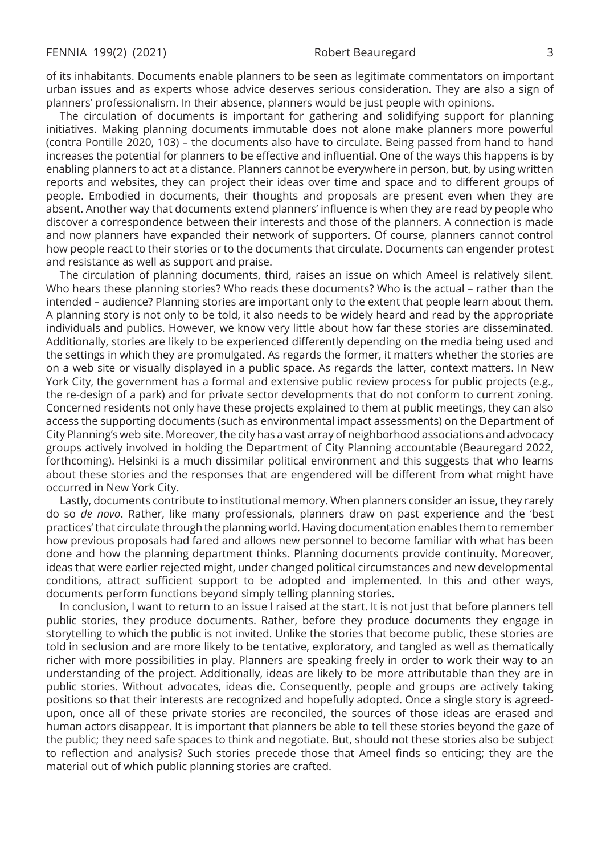of its inhabitants. Documents enable planners to be seen as legitimate commentators on important urban issues and as experts whose advice deserves serious consideration. They are also a sign of planners' professionalism. In their absence, planners would be just people with opinions.

The circulation of documents is important for gathering and solidifying support for planning initiatives. Making planning documents immutable does not alone make planners more powerful (contra Pontille 2020, 103) – the documents also have to circulate. Being passed from hand to hand increases the potential for planners to be effective and influential. One of the ways this happens is by enabling planners to act at a distance. Planners cannot be everywhere in person, but, by using written reports and websites, they can project their ideas over time and space and to different groups of people. Embodied in documents, their thoughts and proposals are present even when they are absent. Another way that documents extend planners' influence is when they are read by people who discover a correspondence between their interests and those of the planners. A connection is made and now planners have expanded their network of supporters. Of course, planners cannot control how people react to their stories or to the documents that circulate. Documents can engender protest and resistance as well as support and praise.

The circulation of planning documents, third, raises an issue on which Ameel is relatively silent. Who hears these planning stories? Who reads these documents? Who is the actual – rather than the intended – audience? Planning stories are important only to the extent that people learn about them. A planning story is not only to be told, it also needs to be widely heard and read by the appropriate individuals and publics. However, we know very little about how far these stories are disseminated. Additionally, stories are likely to be experienced differently depending on the media being used and the settings in which they are promulgated. As regards the former, it matters whether the stories are on a web site or visually displayed in a public space. As regards the latter, context matters. In New York City, the government has a formal and extensive public review process for public projects (e.g., the re-design of a park) and for private sector developments that do not conform to current zoning. Concerned residents not only have these projects explained to them at public meetings, they can also access the supporting documents (such as environmental impact assessments) on the Department of City Planning's web site. Moreover, the city has a vast array of neighborhood associations and advocacy groups actively involved in holding the Department of City Planning accountable (Beauregard 2022, forthcoming). Helsinki is a much dissimilar political environment and this suggests that who learns about these stories and the responses that are engendered will be different from what might have occurred in New York City.

Lastly, documents contribute to institutional memory. When planners consider an issue, they rarely do so *de novo*. Rather, like many professionals, planners draw on past experience and the 'best practices' that circulate through the planning world. Having documentation enables them to remember how previous proposals had fared and allows new personnel to become familiar with what has been done and how the planning department thinks. Planning documents provide continuity. Moreover, ideas that were earlier rejected might, under changed political circumstances and new developmental conditions, attract sufficient support to be adopted and implemented. In this and other ways, documents perform functions beyond simply telling planning stories.

In conclusion, I want to return to an issue I raised at the start. It is not just that before planners tell public stories, they produce documents. Rather, before they produce documents they engage in storytelling to which the public is not invited. Unlike the stories that become public, these stories are told in seclusion and are more likely to be tentative, exploratory, and tangled as well as thematically richer with more possibilities in play. Planners are speaking freely in order to work their way to an understanding of the project. Additionally, ideas are likely to be more attributable than they are in public stories. Without advocates, ideas die. Consequently, people and groups are actively taking positions so that their interests are recognized and hopefully adopted. Once a single story is agreedupon, once all of these private stories are reconciled, the sources of those ideas are erased and human actors disappear. It is important that planners be able to tell these stories beyond the gaze of the public; they need safe spaces to think and negotiate. But, should not these stories also be subject to reflection and analysis? Such stories precede those that Ameel finds so enticing; they are the material out of which public planning stories are crafted.